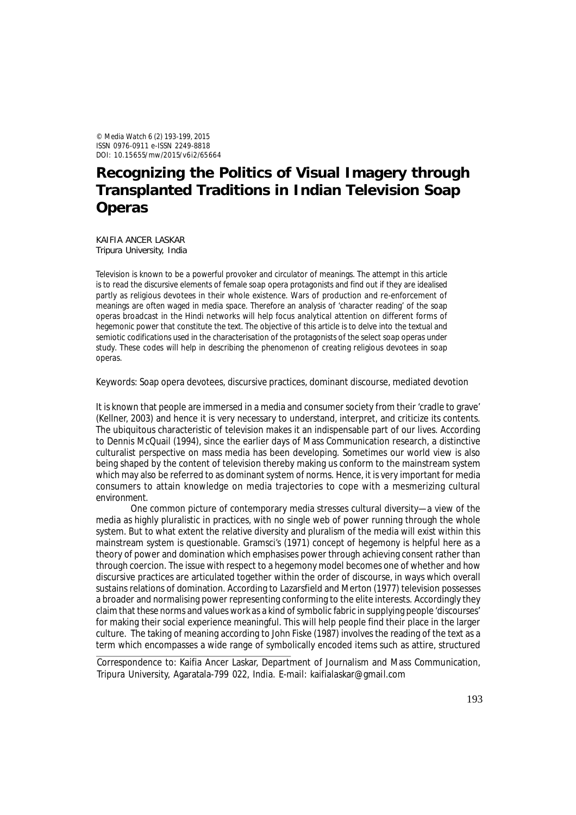© *Media Watch* 6 (2) 193-199, 2015 ISSN 0976-0911 e-ISSN 2249-8818 DOI: 10.15655/mw/2015/v6i2/65664

# **Recognizing the Politics of Visual Imagery through Transplanted Traditions in Indian Television Soap Operas**

KAIFIA ANCER LASKAR Tripura University, India

Television is known to be a powerful provoker and circulator of meanings. The attempt in this article is to read the discursive elements of female soap opera protagonists and find out if they are idealised partly as religious devotees in their whole existence. Wars of production and re-enforcement of meanings are often waged in media space. Therefore an analysis of 'character reading' of the soap operas broadcast in the Hindi networks will help focus analytical attention on different forms of hegemonic power that constitute the text. The objective of this article is to delve into the textual and semiotic codifications used in the characterisation of the protagonists of the select soap operas under study. These codes will help in describing the phenomenon of creating religious devotees in soap operas.

Keywords: Soap opera devotees, discursive practices, dominant discourse, mediated devotion

It is known that people are immersed in a media and consumer society from their 'cradle to grave' (Kellner, 2003) and hence it is very necessary to understand, interpret, and criticize its contents. The ubiquitous characteristic of television makes it an indispensable part of our lives. According to Dennis McQuail (1994), since the earlier days of Mass Communication research, a distinctive culturalist perspective on mass media has been developing. Sometimes our world view is also being shaped by the content of television thereby making us conform to the mainstream system which may also be referred to as dominant system of norms. Hence, it is very important for media consumers to attain knowledge on media trajectories to cope with a mesmerizing cultural environment.

One common picture of contemporary media stresses cultural diversity—a view of the media as highly pluralistic in practices, with no single web of power running through the whole system. But to what extent the relative diversity and pluralism of the media will exist within this mainstream system is questionable. Gramsci's (1971) concept of hegemony is helpful here as a theory of power and domination which emphasises power through achieving consent rather than through coercion. The issue with respect to a hegemony model becomes one of whether and how discursive practices are articulated together within the order of discourse, in ways which overall sustains relations of domination. According to Lazarsfield and Merton (1977) television possesses a broader and normalising power representing conforming to the elite interests. Accordingly they claim that these norms and values work as a kind of symbolic fabric in supplying people 'discourses' for making their social experience meaningful. This will help people find their place in the larger culture. The taking of meaning according to John Fiske (1987) involves the reading of the text as a term which encompasses a wide range of symbolically encoded items such as attire, structured

Correspondence to: Kaifia Ancer Laskar, Department of Journalism and Mass Communication, Tripura University, Agaratala-799 022, India. E-mail: kaifialaskar@gmail.com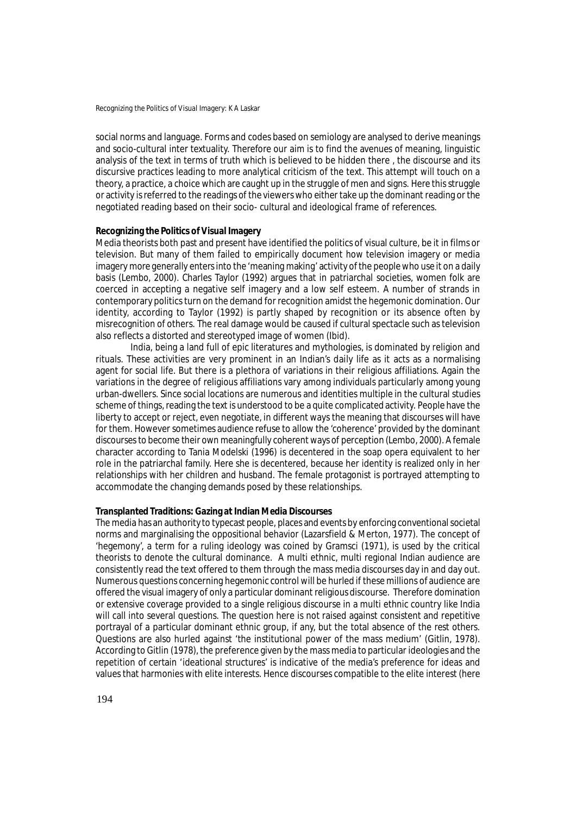Recognizing the Politics of Visual Imagery: K A Laskar

social norms and language. Forms and codes based on semiology are analysed to derive meanings and socio-cultural inter textuality. Therefore our aim is to find the avenues of meaning, linguistic analysis of the text in terms of truth which is believed to be hidden there , the discourse and its discursive practices leading to more analytical criticism of the text. This attempt will touch on a theory, a practice, a choice which are caught up in the struggle of men and signs. Here this struggle or activity is referred to the readings of the viewers who either take up the dominant reading or the negotiated reading based on their socio- cultural and ideological frame of references.

### **Recognizing the Politics of Visual Imagery**

Media theorists both past and present have identified the politics of visual culture, be it in films or television. But many of them failed to empirically document how television imagery or media imagery more generally enters into the 'meaning making' activity of the people who use it on a daily basis (Lembo, 2000). Charles Taylor (1992) argues that in patriarchal societies, women folk are coerced in accepting a negative self imagery and a low self esteem. A number of strands in contemporary politics turn on the demand for recognition amidst the hegemonic domination. Our identity, according to Taylor (1992) is partly shaped by recognition or its absence often by misrecognition of others. The real damage would be caused if cultural spectacle such as television also reflects a distorted and stereotyped image of women (Ibid).

India, being a land full of epic literatures and mythologies, is dominated by religion and rituals. These activities are very prominent in an Indian's daily life as it acts as a normalising agent for social life. But there is a plethora of variations in their religious affiliations. Again the variations in the degree of religious affiliations vary among individuals particularly among young urban-dwellers. Since social locations are numerous and identities multiple in the cultural studies scheme of things, reading the text is understood to be a quite complicated activity. People have the liberty to accept or reject, even negotiate, in different ways the meaning that discourses will have for them. However sometimes audience refuse to allow the 'coherence' provided by the dominant discourses to become their own meaningfully coherent ways of perception (Lembo, 2000). A female character according to Tania Modelski (1996) is decentered in the soap opera equivalent to her role in the patriarchal family. Here she is decentered, because her identity is realized only in her relationships with her children and husband. The female protagonist is portrayed attempting to accommodate the changing demands posed by these relationships.

## **Transplanted Traditions: Gazing at Indian Media Discourses**

The media has an authority to typecast people, places and events by enforcing conventional societal norms and marginalising the oppositional behavior (Lazarsfield & Merton, 1977). The concept of 'hegemony', a term for a ruling ideology was coined by Gramsci (1971), is used by the critical theorists to denote the cultural dominance. A multi ethnic, multi regional Indian audience are consistently read the text offered to them through the mass media discourses day in and day out. Numerous questions concerning hegemonic control will be hurled if these millions of audience are offered the visual imagery of only a particular dominant religious discourse. Therefore domination or extensive coverage provided to a single religious discourse in a multi ethnic country like India will call into several questions. The question here is not raised against consistent and repetitive portrayal of a particular dominant ethnic group, if any, but the total absence of the rest others. Questions are also hurled against 'the institutional power of the mass medium' (Gitlin, 1978). According to Gitlin (1978), the preference given by the mass media to particular ideologies and the repetition of certain 'ideational structures' is indicative of the media's preference for ideas and values that harmonies with elite interests. Hence discourses compatible to the elite interest (here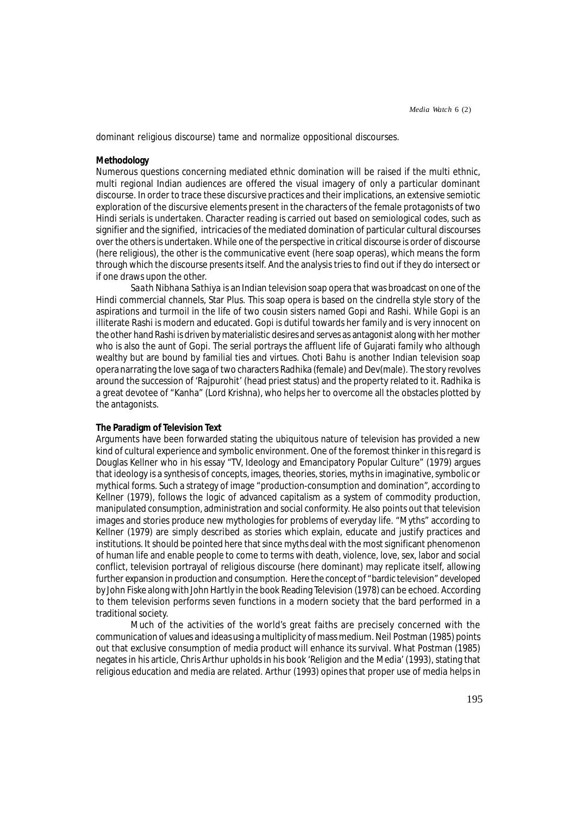dominant religious discourse) tame and normalize oppositional discourses.

## **Methodology**

Numerous questions concerning mediated ethnic domination will be raised if the multi ethnic, multi regional Indian audiences are offered the visual imagery of only a particular dominant discourse. In order to trace these discursive practices and their implications, an extensive semiotic exploration of the discursive elements present in the characters of the female protagonists of two Hindi serials is undertaken. Character reading is carried out based on semiological codes, such as signifier and the signified, intricacies of the mediated domination of particular cultural discourses over the others is undertaken. While one of the perspective in critical discourse is order of discourse (here religious), the other is the communicative event (here soap operas), which means the form through which the discourse presents itself. And the analysis tries to find out if they do intersect or if one draws upon the other.

*Saath Nibhana Sathiya* is an Indian television soap opera that was broadcast on one of the Hindi commercial channels, Star Plus. This soap opera is based on the cindrella style story of the aspirations and turmoil in the life of two cousin sisters named Gopi and Rashi. While Gopi is an illiterate Rashi is modern and educated. Gopi is dutiful towards her family and is very innocent on the other hand Rashi is driven by materialistic desires and serves as antagonist along with her mother who is also the aunt of Gopi. The serial portrays the affluent life of Gujarati family who although wealthy but are bound by familial ties and virtues. *Choti Bahu* is another Indian television soap opera narrating the love saga of two characters Radhika (female) and Dev(male). The story revolves around the succession of 'Rajpurohit' (head priest status) and the property related to it. Radhika is a great devotee of "Kanha" (Lord Krishna), who helps her to overcome all the obstacles plotted by the antagonists.

### **The Paradigm of Television Text**

Arguments have been forwarded stating the ubiquitous nature of television has provided a new kind of cultural experience and symbolic environment. One of the foremost thinker in this regard is Douglas Kellner who in his essay "TV, Ideology and Emancipatory Popular Culture" (1979) argues that ideology is a synthesis of concepts, images, theories, stories, myths in imaginative, symbolic or mythical forms. Such a strategy of image "production-consumption and domination", according to Kellner (1979), follows the logic of advanced capitalism as a system of commodity production, manipulated consumption, administration and social conformity. He also points out that television images and stories produce new mythologies for problems of everyday life. "Myths" according to Kellner (1979) are simply described as stories which explain, educate and justify practices and institutions. It should be pointed here that since myths deal with the most significant phenomenon of human life and enable people to come to terms with death, violence, love, sex, labor and social conflict, television portrayal of religious discourse (here dominant) may replicate itself, allowing further expansion in production and consumption. Here the concept of "bardic television" developed by John Fiske along with John Hartly in the book Reading Television (1978) can be echoed. According to them television performs seven functions in a modern society that the bard performed in a traditional society.

Much of the activities of the world's great faiths are precisely concerned with the communication of values and ideas using a multiplicity of mass medium. Neil Postman (1985) points out that exclusive consumption of media product will enhance its survival. What Postman (1985) negates in his article, Chris Arthur upholds in his book 'Religion and the Media' (1993), stating that religious education and media are related. Arthur (1993) opines that proper use of media helps in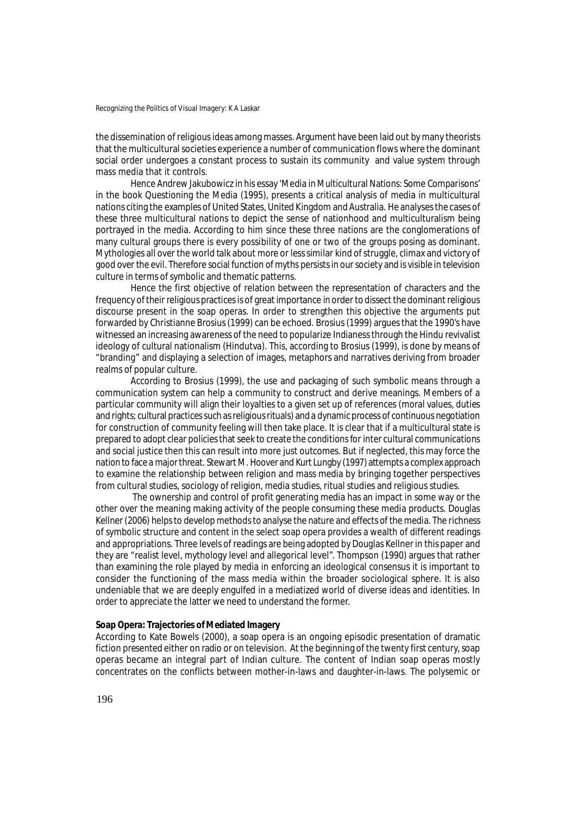the dissemination of religious ideas among masses. Argument have been laid out by many theorists that the multicultural societies experience a number of communication flows where the dominant social order undergoes a constant process to sustain its community and value system through mass media that it controls.

Hence Andrew Jakubowicz in his essay 'Media in Multicultural Nations: Some Comparisons' in the book Questioning the Media (1995), presents a critical analysis of media in multicultural nations citing the examples of United States, United Kingdom and Australia. He analyses the cases of these three multicultural nations to depict the sense of nationhood and multiculturalism being portrayed in the media. According to him since these three nations are the conglomerations of many cultural groups there is every possibility of one or two of the groups posing as dominant. Mythologies all over the world talk about more or less similar kind of struggle, climax and victory of good over the evil. Therefore social function of myths persists in our society and is visible in television culture in terms of symbolic and thematic patterns.

Hence the first objective of relation between the representation of characters and the frequency of their religious practices is of great importance in order to dissect the dominant religious discourse present in the soap operas. In order to strengthen this objective the arguments put forwarded by Christianne Brosius (1999) can be echoed. Brosius (1999) argues that the 1990's have witnessed an increasing awareness of the need to popularize Indianess through the Hindu revivalist ideology of cultural nationalism (Hindutva). This, according to Brosius (1999), is done by means of "branding" and displaying a selection of images, metaphors and narratives deriving from broader realms of popular culture.

According to Brosius (1999), the use and packaging of such symbolic means through a communication system can help a community to construct and derive meanings. Members of a particular community will align their loyalties to a given set up of references (moral values, duties and rights; cultural practices such as religious rituals) and a dynamic process of continuous negotiation for construction of community feeling will then take place. It is clear that if a multicultural state is prepared to adopt clear policies that seek to create the conditions for inter cultural communications and social justice then this can result into more just outcomes. But if neglected, this may force the nation to face a major threat. Stewart M. Hoover and Kurt Lungby (1997) attempts a complex approach to examine the relationship between religion and mass media by bringing together perspectives from cultural studies, sociology of religion, media studies, ritual studies and religious studies.

 The ownership and control of profit generating media has an impact in some way or the other over the meaning making activity of the people consuming these media products. Douglas Kellner (2006) helps to develop methods to analyse the nature and effects of the media. The richness of symbolic structure and content in the select soap opera provides a wealth of different readings and appropriations. Three levels of readings are being adopted by Douglas Kellner in this paper and they are "realist level, mythology level and allegorical level". Thompson (1990) argues that rather than examining the role played by media in enforcing an ideological consensus it is important to consider the functioning of the mass media within the broader sociological sphere. It is also undeniable that we are deeply engulfed in a mediatized world of diverse ideas and identities. In order to appreciate the latter we need to understand the former.

## **Soap Opera: Trajectories of Mediated Imagery**

According to Kate Bowels (2000), a soap opera is an ongoing episodic presentation of dramatic fiction presented either on radio or on television. At the beginning of the twenty first century, soap operas became an integral part of Indian culture. The content of Indian soap operas mostly concentrates on the conflicts between mother-in-laws and daughter-in-laws. The polysemic or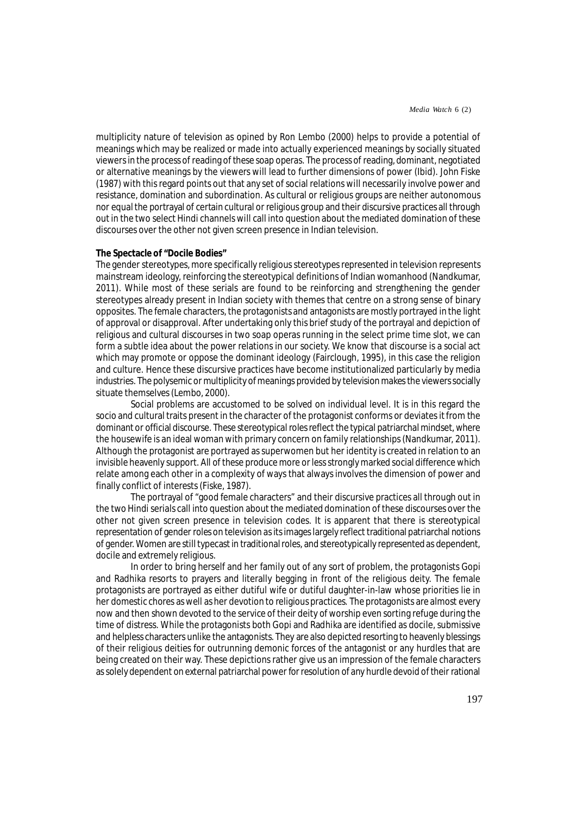multiplicity nature of television as opined by Ron Lembo (2000) helps to provide a potential of meanings which may be realized or made into actually experienced meanings by socially situated viewers in the process of reading of these soap operas. The process of reading, dominant, negotiated or alternative meanings by the viewers will lead to further dimensions of power (Ibid). John Fiske (1987) with this regard points out that any set of social relations will necessarily involve power and resistance, domination and subordination. As cultural or religious groups are neither autonomous nor equal the portrayal of certain cultural or religious group and their discursive practices all through out in the two select Hindi channels will call into question about the mediated domination of these discourses over the other not given screen presence in Indian television.

#### **The Spectacle of "Docile Bodies"**

The gender stereotypes, more specifically religious stereotypes represented in television represents mainstream ideology, reinforcing the stereotypical definitions of Indian womanhood (Nandkumar, 2011). While most of these serials are found to be reinforcing and strengthening the gender stereotypes already present in Indian society with themes that centre on a strong sense of binary opposites. The female characters, the protagonists and antagonists are mostly portrayed in the light of approval or disapproval. After undertaking only this brief study of the portrayal and depiction of religious and cultural discourses in two soap operas running in the select prime time slot, we can form a subtle idea about the power relations in our society. We know that discourse is a social act which may promote or oppose the dominant ideology (Fairclough, 1995), in this case the religion and culture. Hence these discursive practices have become institutionalized particularly by media industries. The polysemic or multiplicity of meanings provided by television makes the viewers socially situate themselves (Lembo, 2000).

Social problems are accustomed to be solved on individual level. It is in this regard the socio and cultural traits present in the character of the protagonist conforms or deviates it from the dominant or official discourse. These stereotypical roles reflect the typical patriarchal mindset, where the housewife is an ideal woman with primary concern on family relationships (Nandkumar, 2011). Although the protagonist are portrayed as superwomen but her identity is created in relation to an invisible heavenly support. All of these produce more or less strongly marked social difference which relate among each other in a complexity of ways that always involves the dimension of power and finally conflict of interests (Fiske, 1987).

The portrayal of "good female characters" and their discursive practices all through out in the two Hindi serials call into question about the mediated domination of these discourses over the other not given screen presence in television codes. It is apparent that there is stereotypical representation of gender roles on television as its images largely reflect traditional patriarchal notions of gender. Women are still typecast in traditional roles, and stereotypically represented as dependent, docile and extremely religious.

In order to bring herself and her family out of any sort of problem, the protagonists Gopi and Radhika resorts to prayers and literally begging in front of the religious deity. The female protagonists are portrayed as either dutiful wife or dutiful daughter-in-law whose priorities lie in her domestic chores as well as her devotion to religious practices. The protagonists are almost every now and then shown devoted to the service of their deity of worship even sorting refuge during the time of distress. While the protagonists both Gopi and Radhika are identified as docile, submissive and helpless characters unlike the antagonists. They are also depicted resorting to heavenly blessings of their religious deities for outrunning demonic forces of the antagonist or any hurdles that are being created on their way. These depictions rather give us an impression of the female characters as solely dependent on external patriarchal power for resolution of any hurdle devoid of their rational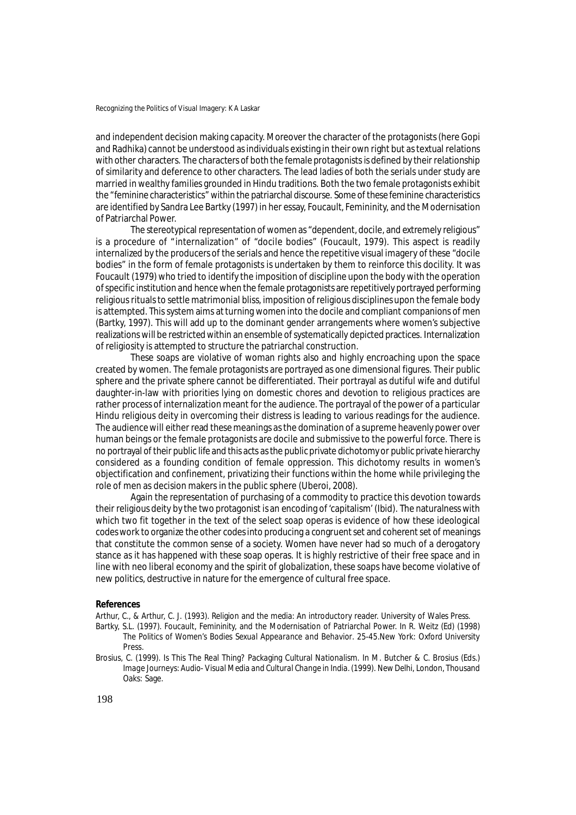and independent decision making capacity. Moreover the character of the protagonists (here Gopi and Radhika) cannot be understood as individuals existing in their own right but as textual relations with other characters. The characters of both the female protagonists is defined by their relationship of similarity and deference to other characters. The lead ladies of both the serials under study are married in wealthy families grounded in Hindu traditions. Both the two female protagonists exhibit the "feminine characteristics" within the patriarchal discourse. Some of these feminine characteristics are identified by Sandra Lee Bartky (1997) in her essay, Foucault, Femininity, and the Modernisation of Patriarchal Power.

The stereotypical representation of women as "dependent, docile, and extremely religious" is a procedure of "internalization" of "docile bodies" (Foucault, 1979). This aspect is readily internalized by the producers of the serials and hence the repetitive visual imagery of these "docile bodies" in the form of female protagonists is undertaken by them to reinforce this docility. It was Foucault (1979) who tried to identify the imposition of discipline upon the body with the operation of specific institution and hence when the female protagonists are repetitively portrayed performing religious rituals to settle matrimonial bliss, imposition of religious disciplines upon the female body is attempted. This system aims at turning women into the docile and compliant companions of men (Bartky, 1997). This will add up to the dominant gender arrangements where women's subjective realizations will be restricted within an ensemble of systematically depicted practices. Internalization of religiosity is attempted to structure the patriarchal construction.

These soaps are violative of woman rights also and highly encroaching upon the space created by women. The female protagonists are portrayed as one dimensional figures. Their public sphere and the private sphere cannot be differentiated. Their portrayal as dutiful wife and dutiful daughter-in-law with priorities lying on domestic chores and devotion to religious practices are rather process of internalization meant for the audience. The portrayal of the power of a particular Hindu religious deity in overcoming their distress is leading to various readings for the audience. The audience will either read these meanings as the domination of a supreme heavenly power over human beings or the female protagonists are docile and submissive to the powerful force. There is no portrayal of their public life and this acts as the public private dichotomy or public private hierarchy considered as a founding condition of female oppression. This dichotomy results in women's objectification and confinement, privatizing their functions within the home while privileging the role of men as decision makers in the public sphere (Uberoi, 2008).

Again the representation of purchasing of a commodity to practice this devotion towards their religious deity by the two protagonist is an encoding of 'capitalism' (Ibid). The naturalness with which two fit together in the text of the select soap operas is evidence of how these ideological codes work to organize the other codes into producing a congruent set and coherent set of meanings that constitute the common sense of a society. Women have never had so much of a derogatory stance as it has happened with these soap operas. It is highly restrictive of their free space and in line with neo liberal economy and the spirit of globalization, these soaps have become violative of new politics, destructive in nature for the emergence of cultural free space.

#### **References**

Arthur, C., & Arthur, C. J. (1993). Religion and the media: An introductory reader. University of Wales Press.

- Bartky, S.L. (1997). Foucault, Femininity, and the Modernisation of Patriarchal Power. In R. Weitz (Ed) (1998) *The Politics of Women's Bodies Sexual Appearance and Behavior*. 25-45.New York: Oxford University Press.
- Brosius, C. (1999). Is This The Real Thing? Packaging Cultural Nationalism. In M. Butcher & C. Brosius (Eds.) *Image Journeys: Audio- Visual Media and Cultural Change in India.* (1999). New Delhi, London, Thousand Oaks: Sage.